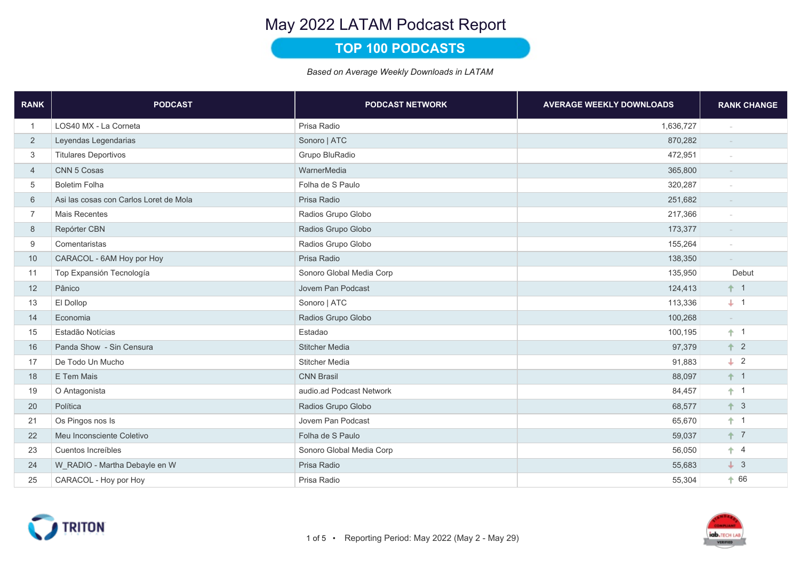## TOP 100 PODCASTS

| <b>RANK</b>    | <b>PODCAST</b>                         | <b>PODCAST NETWORK</b>   | <b>AVERAGE WEEKLY DOWNLOADS</b> | <b>RANK CHANGE</b> |
|----------------|----------------------------------------|--------------------------|---------------------------------|--------------------|
| $\mathbf{1}$   | LOS40 MX - La Corneta                  | Prisa Radio              | 1,636,727                       |                    |
| $\overline{2}$ | Leyendas Legendarias                   | Sonoro   ATC             | 870,282                         |                    |
| 3              | <b>Titulares Deportivos</b>            | Grupo BluRadio           | 472,951                         |                    |
| $\overline{4}$ | CNN 5 Cosas                            | WarnerMedia              | 365,800                         | $\sim$             |
| 5              | <b>Boletim Folha</b>                   | Folha de S Paulo         | 320,287                         |                    |
| 6              | Asi las cosas con Carlos Loret de Mola | Prisa Radio              | 251,682                         | $\sim$             |
| $\overline{7}$ | <b>Mais Recentes</b>                   | Radios Grupo Globo       | 217,366                         |                    |
| 8              | Repórter CBN                           | Radios Grupo Globo       | 173,377                         | $\sim$             |
| 9              | Comentaristas                          | Radios Grupo Globo       | 155,264                         |                    |
| 10             | CARACOL - 6AM Hoy por Hoy              | Prisa Radio              | 138,350                         |                    |
| 11             | Top Expansión Tecnología               | Sonoro Global Media Corp | 135,950                         | Debut              |
| 12             | Pânico                                 | Jovem Pan Podcast        | 124,413                         | $+1$               |
| 13             | El Dollop                              | Sonoro   ATC             | 113,336                         | $+ 1$              |
| 14             | Economia                               | Radios Grupo Globo       | 100,268                         | $\sim$             |
| 15             | Estadão Notícias                       | Estadao                  | 100,195                         | $+1$               |
| 16             | Panda Show - Sin Censura               | <b>Stitcher Media</b>    | 97,379                          | $+2$               |
| 17             | De Todo Un Mucho                       | <b>Stitcher Media</b>    | 91,883                          | $\perp$ 2          |
| 18             | E Tem Mais                             | <b>CNN Brasil</b>        | 88,097                          | $+1$               |
| 19             | O Antagonista                          | audio.ad Podcast Network | 84,457                          | $+1$               |
| 20             | Política                               | Radios Grupo Globo       | 68,577                          | $+3$               |
| 21             | Os Pingos nos Is                       | Jovem Pan Podcast        | 65,670                          | $+1$               |
| 22             | Meu Inconsciente Coletivo              | Folha de S Paulo         | 59,037                          | $+7$               |
| 23             | Cuentos Increíbles                     | Sonoro Global Media Corp | 56,050                          | $+ 4$              |
| 24             | W RADIO - Martha Debayle en W          | Prisa Radio              | 55,683                          | $\downarrow$ 3     |
| 25             | CARACOL - Hoy por Hoy                  | Prisa Radio              | 55,304                          | $+66$              |

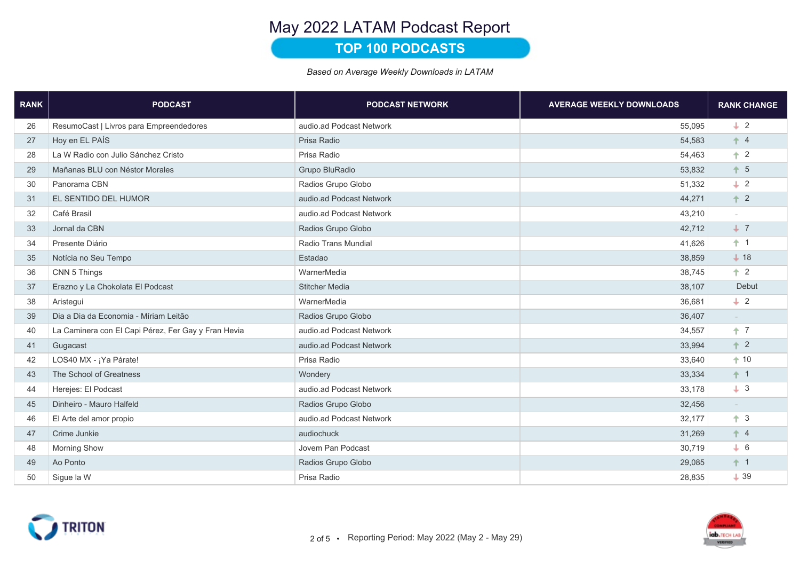## **TOP 100 PODCASTS**

| <b>RANK</b> | <b>PODCAST</b>                                      | <b>PODCAST NETWORK</b>   | <b>AVERAGE WEEKLY DOWNLOADS</b> | <b>RANK CHANGE</b> |
|-------------|-----------------------------------------------------|--------------------------|---------------------------------|--------------------|
| 26          | ResumoCast   Livros para Empreendedores             | audio.ad Podcast Network | 55,095                          | $\perp$ 2          |
| 27          | Hoy en EL PAÍS                                      | Prisa Radio              | 54,583                          | $+4$               |
| 28          | La W Radio con Julio Sánchez Cristo                 | Prisa Radio              | 54,463                          | $+2$               |
| 29          | Mañanas BLU con Néstor Morales                      | Grupo BluRadio           | 53,832                          | $+5$               |
| 30          | Panorama CBN                                        | Radios Grupo Globo       | 51,332                          | $\perp$ 2          |
| 31          | EL SENTIDO DEL HUMOR                                | audio.ad Podcast Network | 44,271                          | $+2$               |
| 32          | Café Brasil                                         | audio.ad Podcast Network | 43,210                          |                    |
| 33          | Jornal da CBN                                       | Radios Grupo Globo       | 42,712                          | $+7$               |
| 34          | Presente Diário                                     | Radio Trans Mundial      | 41,626                          | $+1$               |
| 35          | Notícia no Seu Tempo                                | Estadao                  | 38,859                          | $+18$              |
| 36          | CNN 5 Things                                        | WarnerMedia              | 38,745                          | $+2$               |
| 37          | Erazno y La Chokolata El Podcast                    | <b>Stitcher Media</b>    | 38,107                          | Debut              |
| 38          | Aristegui                                           | WarnerMedia              | 36,681                          | $\perp$ 2          |
| 39          | Dia a Dia da Economia - Míriam Leitão               | Radios Grupo Globo       | 36,407                          | $\sim$             |
| 40          | La Caminera con El Capi Pérez, Fer Gay y Fran Hevia | audio.ad Podcast Network | 34,557                          | $+7$               |
| 41          | Gugacast                                            | audio.ad Podcast Network | 33,994                          | $+2$               |
| 42          | LOS40 MX - ¡Ya Párate!                              | Prisa Radio              | 33,640                          | $+10$              |
| 43          | The School of Greatness                             | Wondery                  | 33,334                          | $+1$               |
| 44          | Herejes: El Podcast                                 | audio.ad Podcast Network | 33,178                          | $+3$               |
| 45          | Dinheiro - Mauro Halfeld                            | Radios Grupo Globo       | 32,456                          | $\sim$             |
| 46          | El Arte del amor propio                             | audio.ad Podcast Network | 32,177                          | $+3$               |
| 47          | Crime Junkie                                        | audiochuck               | 31,269                          | $+4$               |
| 48          | <b>Morning Show</b>                                 | Jovem Pan Podcast        | 30,719                          | $+ 6$              |
| 49          | Ao Ponto                                            | Radios Grupo Globo       | 29,085                          | $+1$               |
| 50          | Sigue la W                                          | Prisa Radio              | 28,835                          | $+39$              |



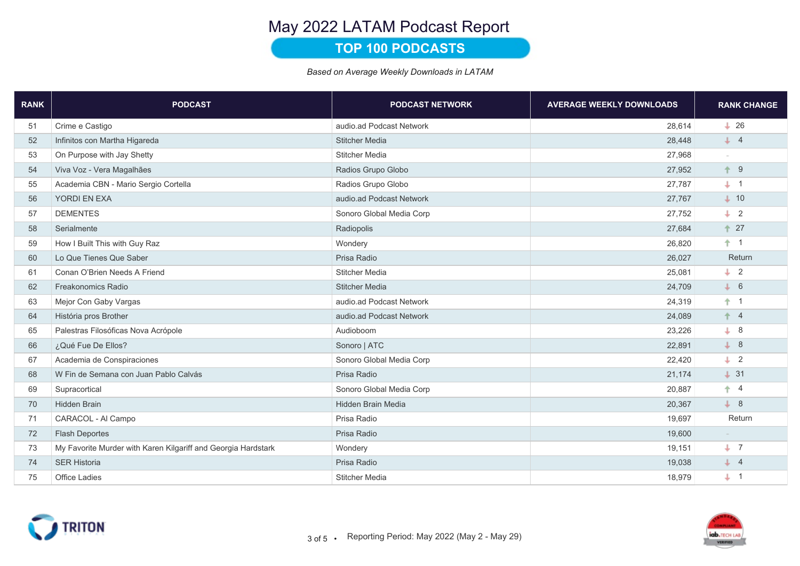## **TOP 100 PODCASTS**

| <b>RANK</b> | <b>PODCAST</b>                                                | <b>PODCAST NETWORK</b>   | <b>AVERAGE WEEKLY DOWNLOADS</b> | <b>RANK CHANGE</b> |
|-------------|---------------------------------------------------------------|--------------------------|---------------------------------|--------------------|
| 51          | Crime e Castigo                                               | audio.ad Podcast Network | 28,614                          | $+26$              |
| 52          | Infinitos con Martha Higareda                                 | <b>Stitcher Media</b>    | 28,448                          | $\downarrow$ 4     |
| 53          | On Purpose with Jay Shetty                                    | <b>Stitcher Media</b>    | 27,968                          |                    |
| 54          | Viva Voz - Vera Magalhães                                     | Radios Grupo Globo       | 27,952                          | $+9$               |
| 55          | Academia CBN - Mario Sergio Cortella                          | Radios Grupo Globo       | 27,787                          | $+$ 1              |
| 56          | <b>YORDI EN EXA</b>                                           | audio.ad Podcast Network | 27,767                          | $+ 10$             |
| 57          | <b>DEMENTES</b>                                               | Sonoro Global Media Corp | 27,752                          | $\perp$ 2          |
| 58          | Serialmente                                                   | Radiopolis               | 27,684                          | $+27$              |
| 59          | How I Built This with Guy Raz                                 | Wondery                  | 26,820                          | $+1$               |
| 60          | Lo Que Tienes Que Saber                                       | Prisa Radio              | 26,027                          | Return             |
| 61          | Conan O'Brien Needs A Friend                                  | <b>Stitcher Media</b>    | 25,081                          | $\downarrow$ 2     |
| 62          | Freakonomics Radio                                            | <b>Stitcher Media</b>    | 24,709                          | $+ 6$              |
| 63          | Mejor Con Gaby Vargas                                         | audio.ad Podcast Network | 24,319                          | $+1$               |
| 64          | História pros Brother                                         | audio.ad Podcast Network | 24,089                          | $+ 4$              |
| 65          | Palestras Filosóficas Nova Acrópole                           | Audioboom                | 23,226                          | $+8$               |
| 66          | ¿Qué Fue De Ellos?                                            | Sonoro   ATC             | 22,891                          | $\downarrow$ 8     |
| 67          | Academia de Conspiraciones                                    | Sonoro Global Media Corp | 22,420                          | $\perp$ 2          |
| 68          | W Fin de Semana con Juan Pablo Calvás                         | Prisa Radio              | 21,174                          | $+31$              |
| 69          | Supracortical                                                 | Sonoro Global Media Corp | 20,887                          | $+ 4$              |
| 70          | <b>Hidden Brain</b>                                           | Hidden Brain Media       | 20,367                          | $+8$               |
| 71          | CARACOL - Al Campo                                            | Prisa Radio              | 19,697                          | Return             |
| 72          | <b>Flash Deportes</b>                                         | Prisa Radio              | 19,600                          |                    |
| 73          | My Favorite Murder with Karen Kilgariff and Georgia Hardstark | Wondery                  | 19,151                          | $+ 7$              |
| 74          | <b>SER Historia</b>                                           | Prisa Radio              | 19,038                          | $\downarrow$ 4     |
| 75          | <b>Office Ladies</b>                                          | <b>Stitcher Media</b>    | 18,979                          | $+$ 1              |

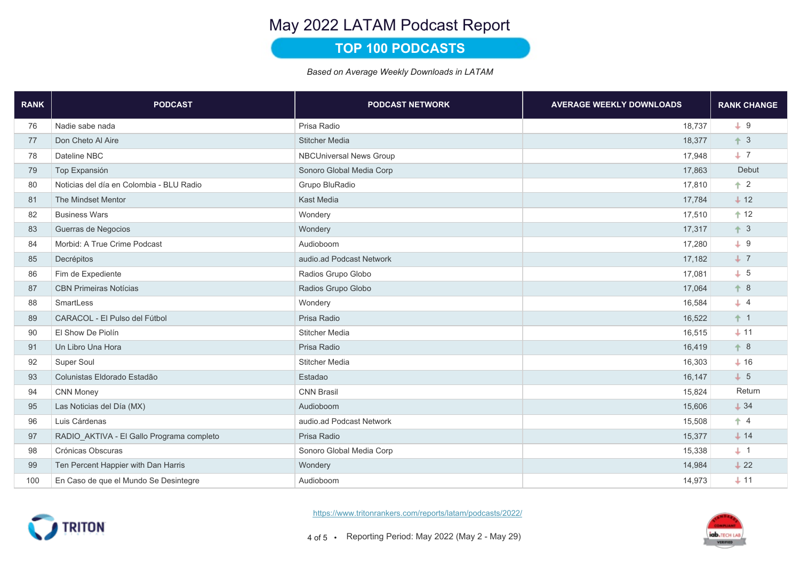## **TOP 100 PODCASTS**

| <b>RANK</b> | <b>PODCAST</b>                            | <b>PODCAST NETWORK</b>         | <b>AVERAGE WEEKLY DOWNLOADS</b> | <b>RANK CHANGE</b> |
|-------------|-------------------------------------------|--------------------------------|---------------------------------|--------------------|
| 76          | Nadie sabe nada                           | Prisa Radio                    | 18,737                          | $+9$               |
| 77          | Don Cheto Al Aire                         | <b>Stitcher Media</b>          | 18,377                          | $+3$               |
| 78          | Dateline NBC                              | <b>NBCUniversal News Group</b> | 17.948                          | $+7$               |
| 79          | Top Expansión                             | Sonoro Global Media Corp       | 17,863                          | Debut              |
| 80          | Noticias del día en Colombia - BLU Radio  | Grupo BluRadio                 | 17,810                          | $+2$               |
| 81          | The Mindset Mentor                        | <b>Kast Media</b>              | 17,784                          | $+12$              |
| 82          | <b>Business Wars</b>                      | Wondery                        | 17,510                          | $+12$              |
| 83          | Guerras de Negocios                       | Wondery                        | 17,317                          | $+3$               |
| 84          | Morbid: A True Crime Podcast              | Audioboom                      | 17,280                          | $+9$               |
| 85          | Decrépitos                                | audio.ad Podcast Network       | 17,182                          | $+7$               |
| 86          | Fim de Expediente                         | Radios Grupo Globo             | 17,081                          | $+ 5$              |
| 87          | <b>CBN Primeiras Notícias</b>             | Radios Grupo Globo             | 17,064                          | $+8$               |
| 88          | SmartLess                                 | Wondery                        | 16,584                          | $+ 4$              |
| 89          | CARACOL - El Pulso del Fútbol             | Prisa Radio                    | 16,522                          | $+1$               |
| 90          | El Show De Piolín                         | <b>Stitcher Media</b>          | 16,515                          | $+11$              |
| 91          | Un Libro Una Hora                         | Prisa Radio                    | 16,419                          | $+8$               |
| 92          | Super Soul                                | <b>Stitcher Media</b>          | 16,303                          | $+16$              |
| 93          | Colunistas Eldorado Estadão               | Estadao                        | 16,147                          | $+ 5$              |
| 94          | <b>CNN Money</b>                          | <b>CNN Brasil</b>              | 15,824                          | Return             |
| 95          | Las Noticias del Día (MX)                 | Audioboom                      | 15,606                          | $+34$              |
| 96          | Luis Cárdenas                             | audio.ad Podcast Network       | 15,508                          | $+4$               |
| 97          | RADIO_AKTIVA - El Gallo Programa completo | Prisa Radio                    | 15,377                          | $+ 14$             |
| 98          | Crónicas Obscuras                         | Sonoro Global Media Corp       | 15,338                          | $+1$               |
| 99          | Ten Percent Happier with Dan Harris       | Wondery                        | 14,984                          | $+22$              |
| 100         | En Caso de que el Mundo Se Desintegre     | Audioboom                      | 14,973                          | $+11$              |